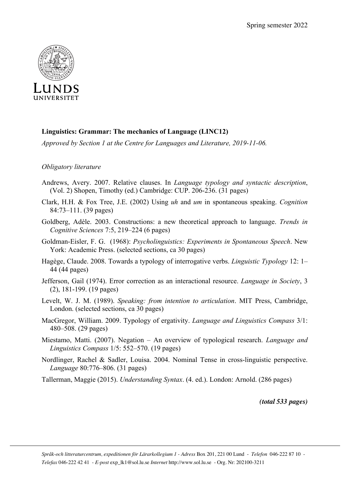

## **Linguistics: Grammar: The mechanics of Language (LINC12)**

*Approved by Section 1 at the Centre for Languages and Literature, 2019-11-06.*

## *Obligatory literature*

- Andrews, Avery. 2007. Relative clauses. In *Language typology and syntactic description*, (Vol. 2) Shopen, Timothy (ed.) Cambridge: CUP. 206-236. (31 pages)
- Clark, H.H. & Fox Tree, J.E. (2002) Using *uh* and *um* in spontaneous speaking. *Cognition* 84:73–111. (39 pages)
- Goldberg, Adèle. 2003. Constructions: a new theoretical approach to language. *Trends in Cognitive Sciences* 7:5, 219–224 (6 pages)
- Goldman-Eisler, F. G. (1968): *Psycholinguistics: Experiments in Spontaneous Speech*. New York: Academic Press. (selected sections, ca 30 pages)
- Hagège, Claude. 2008. Towards a typology of interrogative verbs. *Linguistic Typology* 12: 1– 44 (44 pages)
- Jefferson, Gail (1974). Error correction as an interactional resource. *Language in Society*, 3 (2), 181-199. (19 pages)
- Levelt, W. J. M. (1989). *Speaking: from intention to articulation*. MIT Press, Cambridge, London. (selected sections, ca 30 pages)
- MacGregor, William. 2009. Typology of ergativity. *Language and Linguistics Compass* 3/1: 480–508. (29 pages)
- Miestamo, Matti. (2007). Negation An overview of typological research. *Language and Linguistics Compass* 1/5: 552–570. (19 pages)
- Nordlinger, Rachel & Sadler, Louisa. 2004. Nominal Tense in cross-linguistic perspective. *Language* 80:776–806. (31 pages)

Tallerman, Maggie (2015). *Understanding Syntax*. (4. ed.). London: Arnold. (286 pages)

*(total 533 pages)*